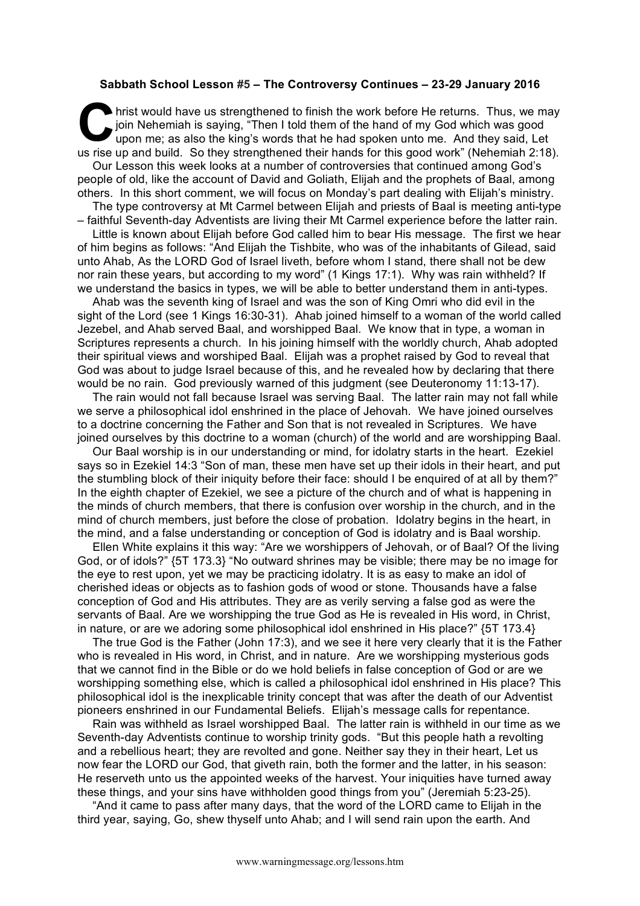## **Sabbath School Lesson #5 – The Controversy Continues – 23-29 January 2016**

hrist would have us strengthened to finish the work before He returns. Thus, we may join Nehemiah is saying, "Then I told them of the hand of my God which was good upon me; as also the king's words that he had spoken unto me. And they said, Let us rise up and build. So they strengthened their hands for this good work" (Nehemiah 2:18). Our Lesson this week looks at a number of controversies that continued among God's people of old, like the account of David and Goliath, Elijah and the prophets of Baal, among others. In this short comment, we will focus on Monday's part dealing with Elijah's ministry. The type controversy at Mt Carmel between Elijah and priests of Baal is meeting anti-type **C** hris

– faithful Seventh-day Adventists are living their Mt Carmel experience before the latter rain.

Little is known about Elijah before God called him to bear His message. The first we hear of him begins as follows: "And Elijah the Tishbite, who was of the inhabitants of Gilead, said unto Ahab, As the LORD God of Israel liveth, before whom I stand, there shall not be dew nor rain these years, but according to my word" (1 Kings 17:1). Why was rain withheld? If we understand the basics in types, we will be able to better understand them in anti-types.

Ahab was the seventh king of Israel and was the son of King Omri who did evil in the sight of the Lord (see 1 Kings 16:30-31). Ahab joined himself to a woman of the world called Jezebel, and Ahab served Baal, and worshipped Baal. We know that in type, a woman in Scriptures represents a church. In his joining himself with the worldly church, Ahab adopted their spiritual views and worshiped Baal. Elijah was a prophet raised by God to reveal that God was about to judge Israel because of this, and he revealed how by declaring that there would be no rain. God previously warned of this judgment (see Deuteronomy 11:13-17).

The rain would not fall because Israel was serving Baal. The latter rain may not fall while we serve a philosophical idol enshrined in the place of Jehovah. We have joined ourselves to a doctrine concerning the Father and Son that is not revealed in Scriptures. We have joined ourselves by this doctrine to a woman (church) of the world and are worshipping Baal.

Our Baal worship is in our understanding or mind, for idolatry starts in the heart. Ezekiel says so in Ezekiel 14:3 "Son of man, these men have set up their idols in their heart, and put the stumbling block of their iniquity before their face: should I be enquired of at all by them?" In the eighth chapter of Ezekiel, we see a picture of the church and of what is happening in the minds of church members, that there is confusion over worship in the church, and in the mind of church members, just before the close of probation. Idolatry begins in the heart, in the mind, and a false understanding or conception of God is idolatry and is Baal worship.

Ellen White explains it this way: "Are we worshippers of Jehovah, or of Baal? Of the living God, or of idols?" {5T 173.3} "No outward shrines may be visible; there may be no image for the eye to rest upon, yet we may be practicing idolatry. It is as easy to make an idol of cherished ideas or objects as to fashion gods of wood or stone. Thousands have a false conception of God and His attributes. They are as verily serving a false god as were the servants of Baal. Are we worshipping the true God as He is revealed in His word, in Christ, in nature, or are we adoring some philosophical idol enshrined in His place?" {5T 173.4}

The true God is the Father (John 17:3), and we see it here very clearly that it is the Father who is revealed in His word, in Christ, and in nature. Are we worshipping mysterious gods that we cannot find in the Bible or do we hold beliefs in false conception of God or are we worshipping something else, which is called a philosophical idol enshrined in His place? This philosophical idol is the inexplicable trinity concept that was after the death of our Adventist pioneers enshrined in our Fundamental Beliefs. Elijah's message calls for repentance.

Rain was withheld as Israel worshipped Baal. The latter rain is withheld in our time as we Seventh-day Adventists continue to worship trinity gods. "But this people hath a revolting and a rebellious heart; they are revolted and gone. Neither say they in their heart, Let us now fear the LORD our God, that giveth rain, both the former and the latter, in his season: He reserveth unto us the appointed weeks of the harvest. Your iniquities have turned away these things, and your sins have withholden good things from you" (Jeremiah 5:23-25).

"And it came to pass after many days, that the word of the LORD came to Elijah in the third year, saying, Go, shew thyself unto Ahab; and I will send rain upon the earth. And